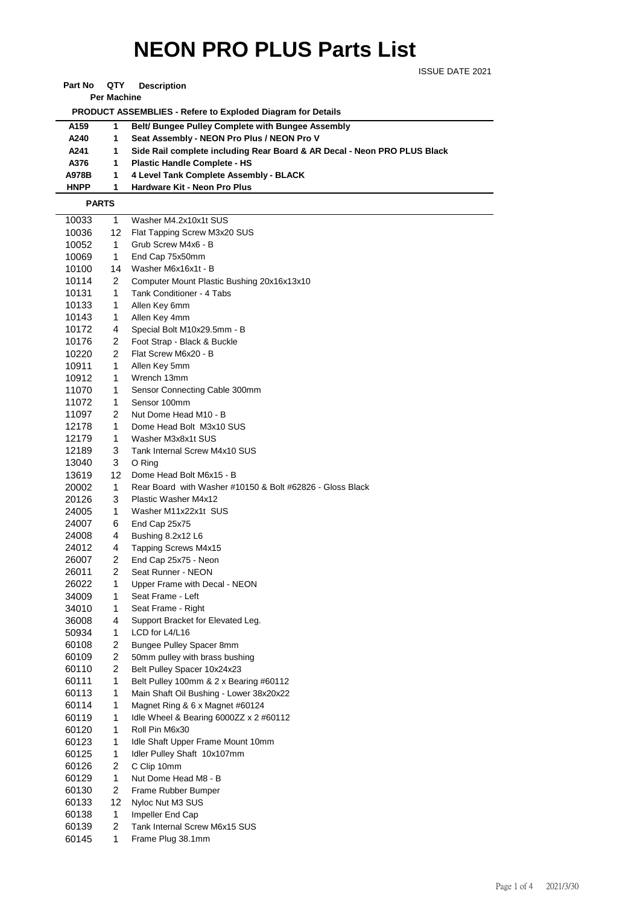## **NEON PRO PLUS Parts List**

ISSUE DATE 2021

**Part No QTY Description** 

**Per Machine**

 **PRODUCT ASSEMBLIES - Refere to Exploded Diagram for Details** 

| A <sub>159</sub> |             | <b>Belt/ Bungee Pulley Complete with Bungee Assembly</b>                 |
|------------------|-------------|--------------------------------------------------------------------------|
| A240             |             | Seat Assembly - NEON Pro Plus / NEON Pro V                               |
| A241             |             | Side Rail complete including Rear Board & AR Decal - Neon PRO PLUS Black |
| A376             |             | <b>Plastic Handle Complete - HS</b>                                      |
| A978B            | $\mathbf 1$ | 4 Level Tank Complete Assembly - BLACK                                   |
| <b>HNPP</b>      |             | Hardware Kit - Neon Pro Plus                                             |

 **PARTS**

| 10033 | 1              | Washer M4.2x10x1t SUS                                     |
|-------|----------------|-----------------------------------------------------------|
| 10036 | 12.            | Flat Tapping Screw M3x20 SUS                              |
| 10052 | 1              | Grub Screw M4x6 - B                                       |
| 10069 | 1              | End Cap 75x50mm                                           |
| 10100 | 14             | Washer M6x16x1t - B                                       |
| 10114 | 2              | Computer Mount Plastic Bushing 20x16x13x10                |
| 10131 | 1              | Tank Conditioner - 4 Tabs                                 |
| 10133 | 1              | Allen Key 6mm                                             |
| 10143 | 1              | Allen Key 4mm                                             |
| 10172 | 4              | Special Bolt M10x29.5mm - B                               |
| 10176 | 2              | Foot Strap - Black & Buckle                               |
| 10220 | 2              | Flat Screw M6x20 - B                                      |
| 10911 | 1              | Allen Key 5mm                                             |
| 10912 | 1              | Wrench 13mm                                               |
| 11070 | 1              | Sensor Connecting Cable 300mm                             |
| 11072 | 1              | Sensor 100mm                                              |
| 11097 | 2              | Nut Dome Head M10 - B                                     |
| 12178 | 1              | Dome Head Bolt M3x10 SUS                                  |
| 12179 | 1              | Washer M3x8x1t SUS                                        |
| 12189 | 3              | Tank Internal Screw M4x10 SUS                             |
| 13040 | 3              | O Ring                                                    |
| 13619 | 12             | Dome Head Bolt M6x15 - B                                  |
| 20002 | 1              | Rear Board with Washer #10150 & Bolt #62826 - Gloss Black |
| 20126 | 3              | Plastic Washer M4x12                                      |
| 24005 | 1              | Washer M11x22x1t SUS                                      |
| 24007 | 6              | End Cap 25x75                                             |
| 24008 | 4              | Bushing 8.2x12 L6                                         |
| 24012 | 4              | Tapping Screws M4x15                                      |
| 26007 | 2              | End Cap 25x75 - Neon                                      |
| 26011 | 2              | Seat Runner - NEON                                        |
| 26022 | 1              | Upper Frame with Decal - NEON                             |
| 34009 | 1              | Seat Frame - Left                                         |
| 34010 | 1              | Seat Frame - Right                                        |
| 36008 | 4              | Support Bracket for Elevated Leg.                         |
| 50934 | 1              | LCD for L4/L16                                            |
| 60108 | 2              | Bungee Pulley Spacer 8mm                                  |
| 60109 | $\overline{2}$ | 50mm pulley with brass bushing                            |
| 60110 | $\overline{2}$ | Belt Pulley Spacer 10x24x23                               |
| 60111 | 1              | Belt Pulley 100mm & 2 x Bearing #60112                    |
| 60113 | $\mathbf{1}$   | Main Shaft Oil Bushing - Lower 38x20x22                   |
| 60114 | 1              | Magnet Ring & 6 x Magnet #60124                           |
| 60119 | 1              | Idle Wheel & Bearing $6000ZZ \times 2 \#60112$            |
| 60120 | 1              | Roll Pin M6x30                                            |
| 60123 | 1              | Idle Shaft Upper Frame Mount 10mm                         |
| 60125 | 1              | Idler Pulley Shaft 10x107mm                               |
| 60126 | 2              | C Clip 10mm                                               |
| 60129 | 1              | Nut Dome Head M8 - B                                      |
| 60130 | $\overline{a}$ | Frame Rubber Bumper                                       |
| 60133 | 12             | Nyloc Nut M3 SUS                                          |
| 60138 | 1              | Impeller End Cap                                          |
| 60139 | 2              | Tank Internal Screw M6x15 SUS                             |
| 60145 | 1              | Frame Plug 38.1mm                                         |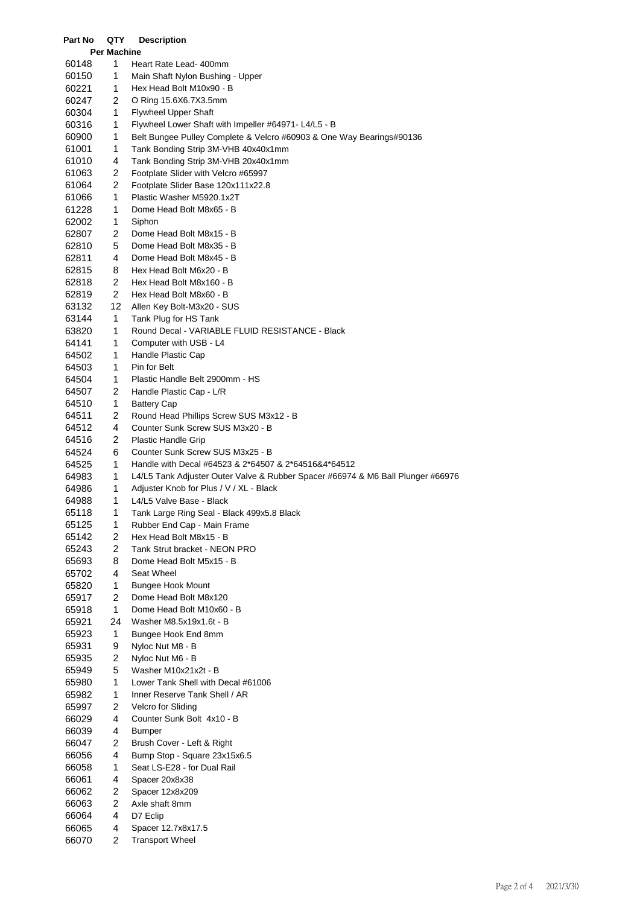| Part No        | QTY                | <b>Description</b>                                                              |
|----------------|--------------------|---------------------------------------------------------------------------------|
|                | <b>Per Machine</b> |                                                                                 |
| 60148          | 1                  | Heart Rate Lead- 400mm                                                          |
| 60150          | 1                  | Main Shaft Nylon Bushing - Upper                                                |
| 60221          | 1                  | Hex Head Bolt M10x90 - B                                                        |
| 60247          | $\overline{c}$     | O Ring 15.6X6.7X3.5mm                                                           |
| 60304          | 1                  | <b>Flywheel Upper Shaft</b>                                                     |
| 60316          | 1                  | Flywheel Lower Shaft with Impeller #64971- L4/L5 - B                            |
| 60900          | 1                  | Belt Bungee Pulley Complete & Velcro #60903 & One Way Bearings#90136            |
| 61001          | 1                  | Tank Bonding Strip 3M-VHB 40x40x1mm                                             |
| 61010          | 4                  | Tank Bonding Strip 3M-VHB 20x40x1mm                                             |
| 61063          | 2                  | Footplate Slider with Velcro #65997                                             |
| 61064          | 2                  | Footplate Slider Base 120x111x22.8                                              |
| 61066          | 1                  | Plastic Washer M5920.1x2T                                                       |
| 61228          | 1                  | Dome Head Bolt M8x65 - B                                                        |
| 62002          | 1                  | Siphon                                                                          |
| 62807          | 2                  | Dome Head Bolt M8x15 - B                                                        |
| 62810          | 5                  | Dome Head Bolt M8x35 - B                                                        |
| 62811          | 4                  | Dome Head Bolt M8x45 - B                                                        |
| 62815          | 8                  | Hex Head Bolt M6x20 - B                                                         |
| 62818          | 2                  | Hex Head Bolt M8x160 - B                                                        |
| 62819          | 2                  | Hex Head Bolt M8x60 - B                                                         |
| 63132          | 12                 | Allen Key Bolt-M3x20 - SUS                                                      |
| 63144          | 1                  | Tank Plug for HS Tank                                                           |
| 63820          | 1                  | Round Decal - VARIABLE FLUID RESISTANCE - Black                                 |
| 64141          | 1                  | Computer with USB - L4                                                          |
| 64502          | 1                  | Handle Plastic Cap                                                              |
| 64503          | 1                  | Pin for Belt                                                                    |
| 64504          | 1                  | Plastic Handle Belt 2900mm - HS                                                 |
| 64507          | 2                  | Handle Plastic Cap - L/R                                                        |
| 64510          | 1                  | <b>Battery Cap</b>                                                              |
| 64511          | $\overline{c}$     | Round Head Phillips Screw SUS M3x12 - B                                         |
| 64512          | 4                  | Counter Sunk Screw SUS M3x20 - B                                                |
| 64516          | 2                  | <b>Plastic Handle Grip</b>                                                      |
| 64524          | 6                  | Counter Sunk Screw SUS M3x25 - B                                                |
| 64525          | 1                  | Handle with Decal #64523 & 2*64507 & 2*64516&4*64512                            |
| 64983          | 1                  | L4/L5 Tank Adjuster Outer Valve & Rubber Spacer #66974 & M6 Ball Plunger #66976 |
| 64986          | 1                  | Adjuster Knob for Plus / V / XL - Black                                         |
| 64988          | 1                  | L4/L5 Valve Base - Black                                                        |
| 65118          | 1                  | Tank Large Ring Seal - Black 499x5.8 Black                                      |
| 65125          | 1                  | Rubber End Cap - Main Frame                                                     |
| 65142          | 2                  | Hex Head Bolt M8x15 - B                                                         |
| 65243          | 2                  | Tank Strut bracket - NEON PRO                                                   |
| 65693          | 8                  | Dome Head Bolt M5x15 - B                                                        |
| 65702          | 4                  | Seat Wheel                                                                      |
| 65820          | 1                  | <b>Bungee Hook Mount</b>                                                        |
| 65917          | $\overline{2}$     | Dome Head Bolt M8x120                                                           |
| 65918          | 1                  | Dome Head Bolt M10x60 - B                                                       |
| 65921          | 24<br>1            | Washer M8.5x19x1.6t - B                                                         |
| 65923<br>65931 | 9                  | Bungee Hook End 8mm<br>Nyloc Nut M8 - B                                         |
| 65935          | 2                  | Nyloc Nut M6 - B                                                                |
| 65949          | 5                  | Washer M10x21x2t - B                                                            |
| 65980          | 1                  | Lower Tank Shell with Decal #61006                                              |
| 65982          | 1                  | Inner Reserve Tank Shell / AR                                                   |
| 65997          | 2                  | Velcro for Sliding                                                              |
| 66029          | 4                  | Counter Sunk Bolt 4x10 - B                                                      |
| 66039          | 4                  | <b>Bumper</b>                                                                   |
| 66047          | 2                  | Brush Cover - Left & Right                                                      |
| 66056          | 4                  | Bump Stop - Square 23x15x6.5                                                    |
| 66058          | 1                  | Seat LS-E28 - for Dual Rail                                                     |
| 66061          | 4                  | Spacer 20x8x38                                                                  |
| 66062          | 2                  | Spacer 12x8x209                                                                 |
| 66063          | 2                  | Axle shaft 8mm                                                                  |
| 66064          | 4                  | D7 Eclip                                                                        |
| 66065          | 4                  | Spacer 12.7x8x17.5                                                              |
| 66070          | $\overline{2}$     | <b>Transport Wheel</b>                                                          |
|                |                    |                                                                                 |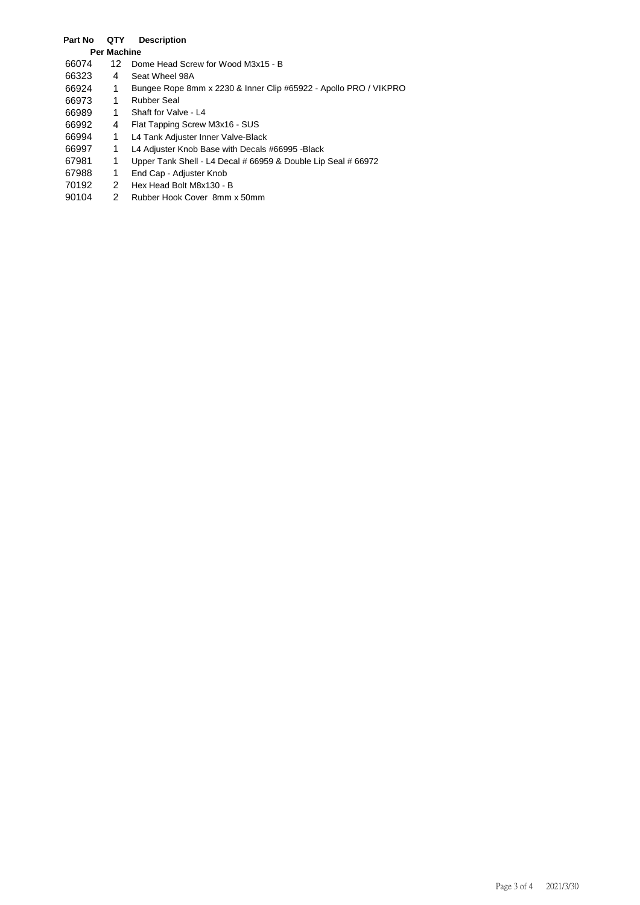## **Part No QTY Description**

| <b>Per Machine</b> |       |     |                                                                  |
|--------------------|-------|-----|------------------------------------------------------------------|
|                    | 66074 | 12. | Dome Head Screw for Wood M3x15 - B                               |
|                    | 66323 | 4   | Seat Wheel 98A                                                   |
|                    | 66924 | 1   | Bungee Rope 8mm x 2230 & Inner Clip #65922 - Apollo PRO / VIKPRO |
|                    | 66973 | 1   | <b>Rubber Seal</b>                                               |
|                    | 66989 | 1   | Shaft for Valve - L4                                             |
|                    | 66992 | 4   | Flat Tapping Screw M3x16 - SUS                                   |
|                    | 66994 | 1   | L4 Tank Adjuster Inner Valve-Black                               |
|                    | 66997 | 1   | L4 Adjuster Knob Base with Decals #66995 -Black                  |
|                    | 67981 | 1   | Upper Tank Shell - L4 Decal # 66959 & Double Lip Seal # 66972    |
|                    | 67988 | 1   | End Cap - Adjuster Knob                                          |
|                    | 70192 | 2   | Hex Head Bolt M8x130 - B                                         |
|                    | 90104 | 2   | Rubber Hook Cover 8mm x 50mm                                     |